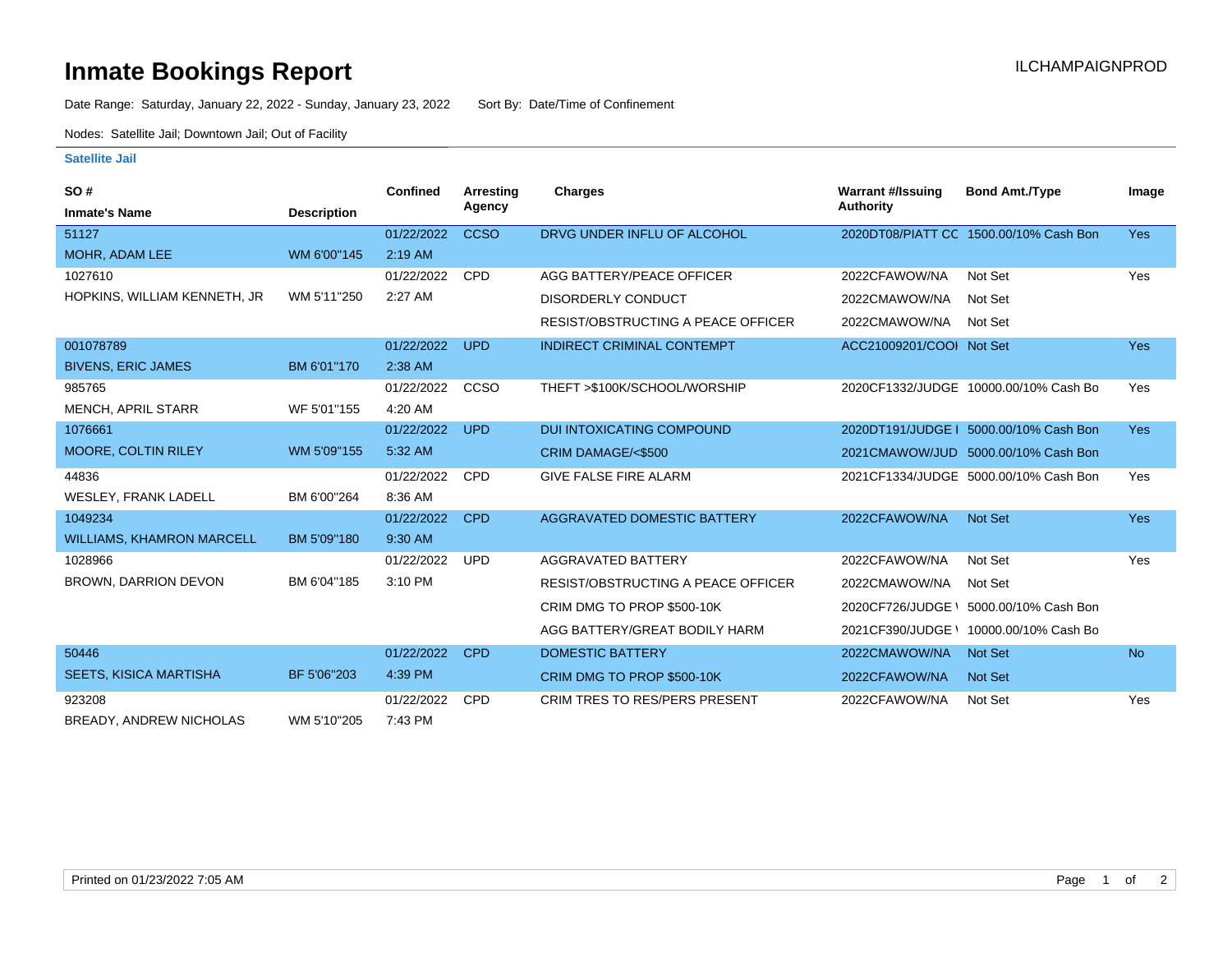## **Inmate Bookings Report Installation Control Control Control Control Control Control Control Control Control Control Control Control Control Control Control Control Control Control Control Control Control Control Control**

Date Range: Saturday, January 22, 2022 - Sunday, January 23, 2022 Sort By: Date/Time of Confinement

Nodes: Satellite Jail; Downtown Jail; Out of Facility

## **Satellite Jail**

| SO#                              |                    | <b>Confined</b> | Arresting<br>Agency | Charges                                   | <b>Warrant #/Issuing</b><br><b>Authority</b> | <b>Bond Amt./Type</b>                  | Image      |
|----------------------------------|--------------------|-----------------|---------------------|-------------------------------------------|----------------------------------------------|----------------------------------------|------------|
| <b>Inmate's Name</b>             | <b>Description</b> |                 |                     |                                           |                                              |                                        |            |
| 51127                            |                    | 01/22/2022      | <b>CCSO</b>         | DRVG UNDER INFLU OF ALCOHOL               |                                              | 2020DT08/PIATT CC 1500.00/10% Cash Bon | <b>Yes</b> |
| MOHR, ADAM LEE                   | WM 6'00"145        | $2:19$ AM       |                     |                                           |                                              |                                        |            |
| 1027610                          |                    | 01/22/2022      | <b>CPD</b>          | AGG BATTERY/PEACE OFFICER                 | 2022CFAWOW/NA                                | Not Set                                | Yes        |
| HOPKINS, WILLIAM KENNETH, JR     | WM 5'11"250        | 2:27 AM         |                     | <b>DISORDERLY CONDUCT</b>                 | 2022CMAWOW/NA                                | Not Set                                |            |
|                                  |                    |                 |                     | <b>RESIST/OBSTRUCTING A PEACE OFFICER</b> | 2022CMAWOW/NA                                | Not Set                                |            |
| 001078789                        |                    | 01/22/2022      | <b>UPD</b>          | INDIRECT CRIMINAL CONTEMPT                | ACC21009201/COOI Not Set                     |                                        | <b>Yes</b> |
| <b>BIVENS, ERIC JAMES</b>        | BM 6'01"170        | 2:38 AM         |                     |                                           |                                              |                                        |            |
| 985765                           |                    | 01/22/2022      | <b>CCSO</b>         | THEFT >\$100K/SCHOOL/WORSHIP              |                                              | 2020CF1332/JUDGE 10000.00/10% Cash Bo  | Yes        |
| <b>MENCH, APRIL STARR</b>        | WF 5'01"155        | 4:20 AM         |                     |                                           |                                              |                                        |            |
| 1076661                          |                    | 01/22/2022      | <b>UPD</b>          | <b>DUI INTOXICATING COMPOUND</b>          |                                              | 2020DT191/JUDGE   5000.00/10% Cash Bon | <b>Yes</b> |
| MOORE, COLTIN RILEY              | WM 5'09"155        | 5:32 AM         |                     | CRIM DAMAGE/<\$500                        |                                              | 2021CMAWOW/JUD 5000.00/10% Cash Bon    |            |
| 44836                            |                    | 01/22/2022      | <b>CPD</b>          | <b>GIVE FALSE FIRE ALARM</b>              |                                              | 2021CF1334/JUDGE 5000.00/10% Cash Bon  | Yes        |
| WESLEY, FRANK LADELL             | BM 6'00"264        | 8:36 AM         |                     |                                           |                                              |                                        |            |
| 1049234                          |                    | 01/22/2022      | <b>CPD</b>          | <b>AGGRAVATED DOMESTIC BATTERY</b>        | 2022CFAWOW/NA                                | <b>Not Set</b>                         | <b>Yes</b> |
| <b>WILLIAMS, KHAMRON MARCELL</b> | BM 5'09"180        | 9:30 AM         |                     |                                           |                                              |                                        |            |
| 1028966                          |                    | 01/22/2022      | <b>UPD</b>          | AGGRAVATED BATTERY                        | 2022CFAWOW/NA                                | Not Set                                | Yes        |
| <b>BROWN, DARRION DEVON</b>      | BM 6'04"185        | 3:10 PM         |                     | <b>RESIST/OBSTRUCTING A PEACE OFFICER</b> | 2022CMAWOW/NA                                | Not Set                                |            |
|                                  |                    |                 |                     | CRIM DMG TO PROP \$500-10K                | 2020CF726/JUDGE                              | 5000.00/10% Cash Bon                   |            |
|                                  |                    |                 |                     | AGG BATTERY/GREAT BODILY HARM             | 2021CF390/JUDGE \                            | 10000.00/10% Cash Bo                   |            |
| 50446                            |                    | 01/22/2022      | <b>CPD</b>          | <b>DOMESTIC BATTERY</b>                   | 2022CMAWOW/NA                                | <b>Not Set</b>                         | <b>No</b>  |
| <b>SEETS, KISICA MARTISHA</b>    | BF 5'06"203        | 4:39 PM         |                     | CRIM DMG TO PROP \$500-10K                | 2022CFAWOW/NA                                | <b>Not Set</b>                         |            |
| 923208                           |                    | 01/22/2022      | <b>CPD</b>          | <b>CRIM TRES TO RES/PERS PRESENT</b>      | 2022CFAWOW/NA                                | Not Set                                | Yes        |
| <b>BREADY, ANDREW NICHOLAS</b>   | WM 5'10"205        | 7:43 PM         |                     |                                           |                                              |                                        |            |